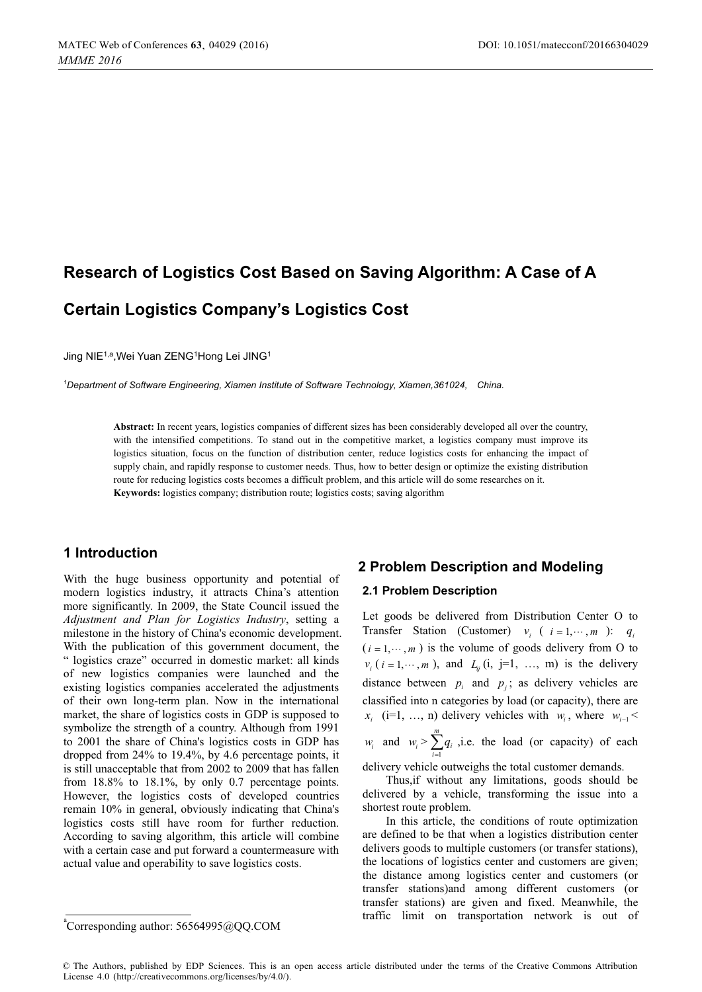# **Research of Logistics Cost Based on Saving Algorithm: A Case of A Certain Logistics Company's Logistics Cost**

Jing NIE<sup>1,a</sup>, Wei Yuan ZENG<sup>1</sup>Hong Lei JING<sup>1</sup>

*1 Department of Software Engineering, Xiamen Institute of Software Technology, Xiamen,361024, China.* 

**Abstract:** In recent years, logistics companies of different sizes has been considerably developed all over the country, with the intensified competitions. To stand out in the competitive market, a logistics company must improve its logistics situation, focus on the function of distribution center, reduce logistics costs for enhancing the impact of supply chain, and rapidly response to customer needs. Thus, how to better design or optimize the existing distribution route for reducing logistics costs becomes a difficult problem, and this article will do some researches on it. **Keywords:** logistics company; distribution route; logistics costs; saving algorithm

### **1 Introduction**

With the huge business opportunity and potential of modern logistics industry, it attracts China's attention more significantly. In 2009, the State Council issued the *Adjustment and Plan for Logistics Industry*, setting a milestone in the history of China's economic development. With the publication of this government document, the " logistics craze" occurred in domestic market: all kinds of new logistics companies were launched and the existing logistics companies accelerated the adjustments of their own long-term plan. Now in the international market, the share of logistics costs in GDP is supposed to symbolize the strength of a country. Although from 1991 to 2001 the share of China's logistics costs in GDP has dropped from 24% to 19.4%, by 4.6 percentage points, it is still unacceptable that from 2002 to 2009 that has fallen from 18.8% to 18.1%, by only 0.7 percentage points. However, the logistics costs of developed countries remain 10% in general, obviously indicating that China's logistics costs still have room for further reduction. According to saving algorithm, this article will combine with a certain case and put forward a countermeasure with actual value and operability to save logistics costs.

# **2 Problem Description and Modeling**

### **2.1 Problem Description**

Let goods be delivered from Distribution Center O to Transfer Station (Customer)  $v_i$  (  $i = 1, \dots, m$  ):  $q_i$  $(i = 1, \dots, m)$  is the volume of goods delivery from O to  $v_i$  ( $i = 1, \dots, m$ ), and  $L_{ij}$  (i, j=1, ..., m) is the delivery distance between  $p_i$  and  $p_j$ ; as delivery vehicles are classified into n categories by load (or capacity), there are  $x_i$  (i=1, ..., n) delivery vehicles with  $w_i$ , where  $w_{i-1}$  < *w<sub>i</sub>* and  $w_i > \sum_{i=1}^n$ *m*  $\sum_{i=1}^{n}$  $\sum_{i=1}^{m} q_i$ , *i.e.* the load (or capacity) of each

delivery vehicle outweighs the total customer demands.

Thus,if without any limitations, goods should be delivered by a vehicle, transforming the issue into a shortest route problem.

In this article, the conditions of route optimization are defined to be that when a logistics distribution center delivers goods to multiple customers (or transfer stations), the locations of logistics center and customers are given; the distance among logistics center and customers (or transfer stations)and among different customers (or transfer stations) are given and fixed. Meanwhile, the traffic limit on transportation network is out of

a Corresponding author: [56564995@QQ.COM](mailto:56564995@QQ.COM)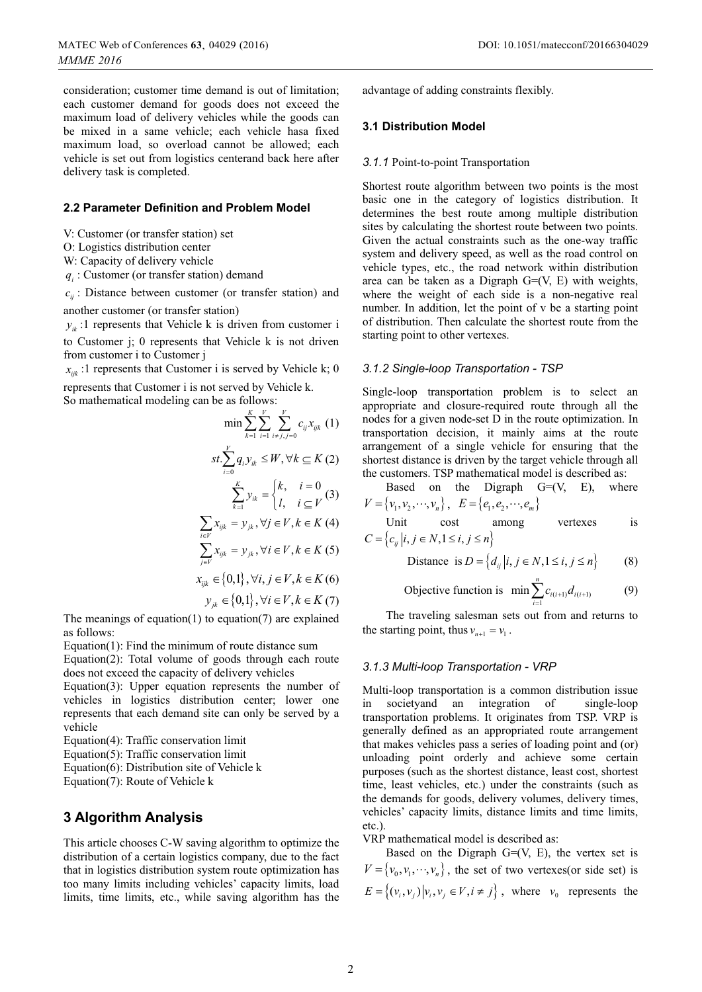consideration; customer time demand is out of limitation; each customer demand for goods does not exceed the maximum load of delivery vehicles while the goods can be mixed in a same vehicle; each vehicle hasa fixed maximum load, so overload cannot be allowed; each vehicle is set out from logistics centerand back here after delivery task is completed.

### **2.2 Parameter Definition and Problem Model**

V: Customer (or transfer station) set

O: Logistics distribution center

W: Capacity of delivery vehicle

 $q_i$ : Customer (or transfer station) demand

 $c_{ii}$ : Distance between customer (or transfer station) and another customer (or transfer station)

 $y_{ik}$ :1 represents that Vehicle k is driven from customer i to Customer j; 0 represents that Vehicle k is not driven from customer i to Customer j

 $x_{ijk}$ :1 represents that Customer i is served by Vehicle k; 0

represents that Customer i is not served by Vehicle k. So mathematical modeling can be as follows:

*KV V*

$$
\min \sum_{k=1}^{K} \sum_{i=1}^{V} \sum_{i \neq j, j=0}^{V} c_{ij} x_{ijk} \quad (1)
$$
\n
$$
st \sum_{i=0}^{V} q_i y_{ik} \leq W, \forall k \subseteq K \quad (2)
$$
\n
$$
\sum_{k=1}^{K} y_{ik} = \begin{cases} k, & i=0\\ l, & i \subseteq V \end{cases} \quad (3)
$$
\n
$$
\sum_{i \in V} x_{ijk} = y_{jk}, \forall j \in V, k \in K \quad (4)
$$
\n
$$
\sum_{j \in V} x_{ijk} = y_{jk}, \forall i \in V, k \in K \quad (5)
$$
\n
$$
x_{ijk} \in \{0,1\}, \forall i, j \in V, k \in K \quad (6)
$$
\n
$$
y_{jk} \in \{0,1\}, \forall i \in V, k \in K \quad (7)
$$
\nis a function (3) are explained.

The meanings of equation(1) to equation(7) are explained as follows:

Equation(1): Find the minimum of route distance sum

Equation(2): Total volume of goods through each route does not exceed the capacity of delivery vehicles

Equation(3): Upper equation represents the number of vehicles in logistics distribution center; lower one represents that each demand site can only be served by a vehicle

Equation(4): Traffic conservation limit

Equation(5): Traffic conservation limit

Equation(6): Distribution site of Vehicle k

Equation(7): Route of Vehicle k

### **3 Algorithm Analysis**

This article chooses C-W saving algorithm to optimize the distribution of a certain logistics company, due to the fact that in logistics distribution system route optimization has too many limits including vehicles' capacity limits, load limits, time limits, etc., while saving algorithm has the

advantage of adding constraints flexibly.

### **3.1 Distribution Model**

#### *3.1.1* Point-to-point Transportation

Shortest route algorithm between two points is the most basic one in the category of logistics distribution. It determines the best route among multiple distribution sites by calculating the shortest route between two points. Given the actual constraints such as the one-way traffic system and delivery speed, as well as the road control on vehicle types, etc., the road network within distribution area can be taken as a Digraph  $G=(V, E)$  with weights, where the weight of each side is a non-negative real number. In addition, let the point of v be a starting point of distribution. Then calculate the shortest route from the starting point to other vertexes.

# *3.1.2 Single-loop Transportation - TSP*

Single-loop transportation problem is to select an appropriate and closure-required route through all the nodes for a given node-set D in the route optimization. In transportation decision, it mainly aims at the route arrangement of a single vehicle for ensuring that the shortest distance is driven by the target vehicle through all the customers. TSP mathematical model is described as:

Based on the Digraph  $G=(V, E)$ , where  $V = \{v_1, v_2, \dots, v_n\},\ \ E = \{e_1, e_2, \dots, e_m\}$ 

Unit cost among vertexes is  $C = \left\{ c_{ij} | i, j \in N, 1 \le i, j \le n \right\}$ 

Distance is  $D = \{d_{ij} | i, j \in N, 1 \le i, j \le n\}$  (8)

$$
\text{objective function is } \min \sum_{i=1}^{n} c_{i(i+1)} d_{i(i+1)} \tag{9}
$$

The traveling salesman sets out from and returns to the starting point, thus  $v_{n+1} = v_1$ .

# *3.1.3 Multi-loop Transportation - VRP*

Multi-loop transportation is a common distribution issue in societyand an integration of single-loop transportation problems. It originates from TSP. VRP is generally defined as an appropriated route arrangement that makes vehicles pass a series of loading point and (or) unloading point orderly and achieve some certain purposes (such as the shortest distance, least cost, shortest time, least vehicles, etc.) under the constraints (such as the demands for goods, delivery volumes, delivery times, vehicles' capacity limits, distance limits and time limits, etc.).

VRP mathematical model is described as:

Based on the Digraph  $G=(V, E)$ , the vertex set is  $V = \{v_0, v_1, \dots, v_n\}$ , the set of two vertexes(or side set) is  $E = \left\{ (v_i, v_j) | v_i, v_j \in V, i \neq j \right\}$ , where  $v_0$  represents the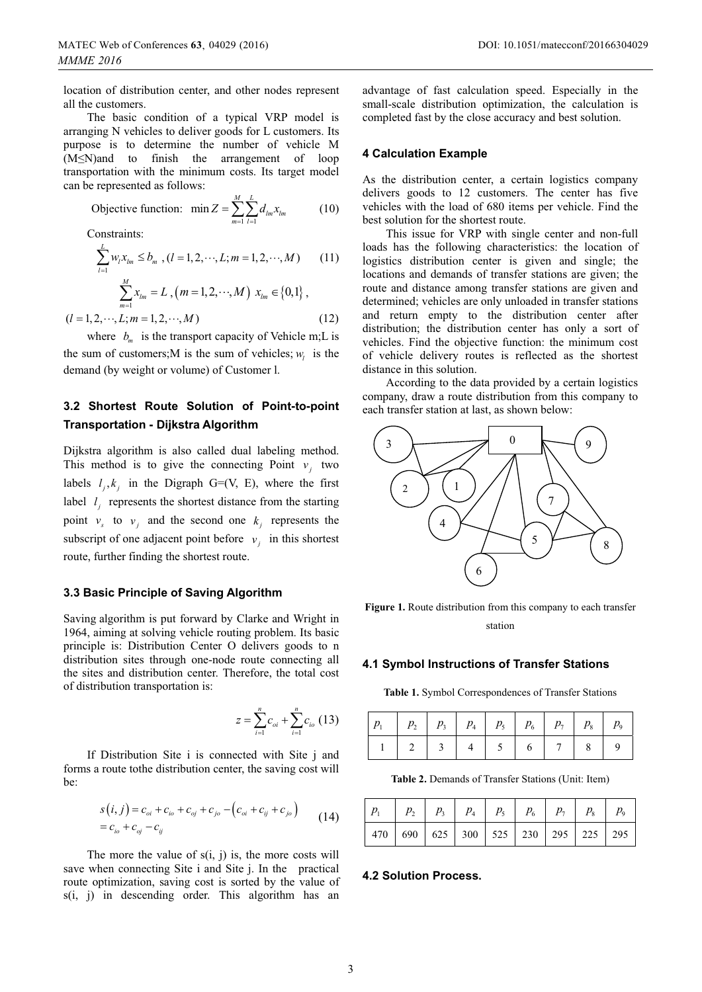location of distribution center, and other nodes represent all the customers.

The basic condition of a typical VRP model is arranging N vehicles to deliver goods for L customers. Its purpose is to determine the number of vehicle M  $(M \leq N)$  and to finish the arrangement of loop transportation with the minimum costs. Its target model can be represented as follows:

$$
\text{Objective function: } \min Z = \sum_{m=1}^{M} \sum_{l=1}^{L} d_{lm} x_{lm} \tag{10}
$$

Constraints:

$$
\sum_{l=1}^{L} w_l x_{lm} \le b_m, (l = 1, 2, \cdots, L; m = 1, 2, \cdots, M)
$$
 (11)

$$
\sum_{m=1}^{M} x_{lm} = L , (m = 1, 2, \cdots, M) \ x_{lm} \in \{0, 1\} ,
$$

 $(l = 1, 2, \cdots, L; m = 1, 2, \cdots, M)$  (12)

where  $b<sub>m</sub>$  is the transport capacity of Vehicle m;L is the sum of customers;M is the sum of vehicles;  $w_i$  is the demand (by weight or volume) of Customer l.

## **3.2 Shortest Route Solution of Point-to-point Transportation - Dijkstra Algorithm**

Dijkstra algorithm is also called dual labeling method. This method is to give the connecting Point  $v_i$  two labels  $l_i, k_i$  in the Digraph G=(V, E), where the first label  $l_i$  represents the shortest distance from the starting point  $v_s$  to  $v_i$  and the second one  $k_i$  represents the subscript of one adjacent point before  $v_i$  in this shortest route, further finding the shortest route.

### **3.3 Basic Principle of Saving Algorithm**

Saving algorithm is put forward by Clarke and Wright in 1964, aiming at solving vehicle routing problem. Its basic principle is: Distribution Center O delivers goods to n distribution sites through one-node route connecting all the sites and distribution center. Therefore, the total cost of distribution transportation is:

$$
z = \sum_{i=1}^{n} c_{oi} + \sum_{i=1}^{n} c_{io} (13)
$$

If Distribution Site i is connected with Site j and forms a route tothe distribution center, the saving cost will be:

$$
s(i, j) = c_{oi} + c_{io} + c_{oj} + c_{jo} - (c_{oi} + c_{ij} + c_{jo})
$$
  
=  $c_{io} + c_{oj} - c_{ij}$  (14)

The more the value of  $s(i, j)$  is, the more costs will save when connecting Site i and Site j. In the practical route optimization, saving cost is sorted by the value of s(i, j) in descending order. This algorithm has an

advantage of fast calculation speed. Especially in the small-scale distribution optimization, the calculation is completed fast by the close accuracy and best solution.

### **4 Calculation Example**

As the distribution center, a certain logistics company delivers goods to 12 customers. The center has five vehicles with the load of 680 items per vehicle. Find the best solution for the shortest route.

This issue for VRP with single center and non-full loads has the following characteristics: the location of logistics distribution center is given and single; the locations and demands of transfer stations are given; the route and distance among transfer stations are given and determined; vehicles are only unloaded in transfer stations and return empty to the distribution center after distribution; the distribution center has only a sort of vehicles. Find the objective function: the minimum cost of vehicle delivery routes is reflected as the shortest distance in this solution.

According to the data provided by a certain logistics company, draw a route distribution from this company to each transfer station at last, as shown below:



Figure 1. Route distribution from this company to each transfer station

### **4.1 Symbol Instructions of Transfer Stations**

**Table 1.** Symbol Correspondences of Transfer Stations

|  | 2 3 4 5 6 7 8 9 |  |  |  |
|--|-----------------|--|--|--|

**Table 2.** Demands of Transfer Stations (Unit: Item)

| $p_{1}$ |                                                     |  |  |  |  |
|---------|-----------------------------------------------------|--|--|--|--|
|         | 470   690   625   300   525   230   295   225   295 |  |  |  |  |

#### **4.2 Solution Process.**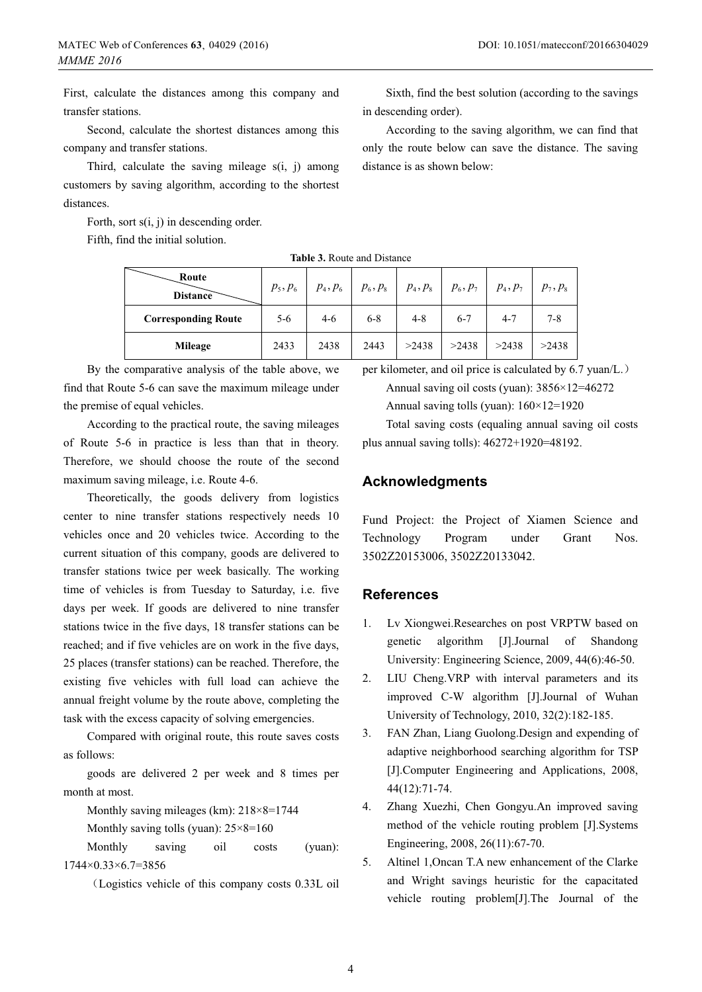First, calculate the distances among this company and transfer stations.

Second, calculate the shortest distances among this company and transfer stations.

Third, calculate the saving mileage  $s(i, j)$  among customers by saving algorithm, according to the shortest distances.

Forth, sort s(i, j) in descending order.

Fifth, find the initial solution.

Sixth, find the best solution (according to the savings in descending order).

According to the saving algorithm, we can find that only the route below can save the distance. The saving distance is as shown below:

**Table 3.** Route and Distance

| Route<br><b>Distance</b>   | $p_{5}, p_{6}$ | $p_4, p_6$ | $p_6, p_8$ | $p_4, p_8$ | $\mid p_6, p_7 \mid$ | $p_4, p_7$ | $p_{7}, p_{8}$ |
|----------------------------|----------------|------------|------------|------------|----------------------|------------|----------------|
| <b>Corresponding Route</b> | $5 - 6$        | $4-6$      | $6 - 8$    | $4 - 8$    | $6 - 7$              | $4 - 7$    | $7 - 8$        |
| <b>Mileage</b>             | 2433           | 2438       | 2443       | >2438      | >2438                | >2438      | >2438          |

By the comparative analysis of the table above, we find that Route 5-6 can save the maximum mileage under the premise of equal vehicles.

According to the practical route, the saving mileages of Route 5-6 in practice is less than that in theory. Therefore, we should choose the route of the second maximum saving mileage, i.e. Route 4-6.

Theoretically, the goods delivery from logistics center to nine transfer stations respectively needs 10 vehicles once and 20 vehicles twice. According to the current situation of this company, goods are delivered to transfer stations twice per week basically. The working time of vehicles is from Tuesday to Saturday, i.e. five days per week. If goods are delivered to nine transfer stations twice in the five days, 18 transfer stations can be reached; and if five vehicles are on work in the five days, 25 places (transfer stations) can be reached. Therefore, the existing five vehicles with full load can achieve the annual freight volume by the route above, completing the task with the excess capacity of solving emergencies.

Compared with original route, this route saves costs as follows:

goods are delivered 2 per week and 8 times per month at most.

Monthly saving mileages (km): 218×8=1744

Monthly saving tolls (yuan):  $25\times8=160$ 

Monthly saving oil costs (yuan): 1744×0.33×6.7=3856

˄Logistics vehicle of this company costs 0.33L oil

per kilometer, and oil price is calculated by 6.7 yuan/L. Annual saving oil costs (yuan): 3856×12=46272

Annual saving tolls (yuan): 160×12=1920

Total saving costs (equaling annual saving oil costs plus annual saving tolls): 46272+1920=48192.

### **Acknowledgments**

Fund Project: the Project of Xiamen Science and Technology Program under Grant Nos. 3502Z20153006, 3502Z20133042.

### **References**

- 1. Lv Xiongwei.Researches on post VRPTW based on genetic algorithm [J].Journal of Shandong University: Engineering Science, 2009, 44(6):46-50.
- 2. LIU Cheng.VRP with interval parameters and its improved C-W algorithm [J].Journal of Wuhan University of Technology, 2010, 32(2):182-185.
- 3. FAN Zhan, Liang Guolong.Design and expending of adaptive neighborhood searching algorithm for TSP [J].Computer Engineering and Applications, 2008, 44(12):71-74.
- 4. Zhang Xuezhi, Chen Gongyu.An improved saving method of the vehicle routing problem [J].Systems Engineering, 2008, 26(11):67-70.
- 5. Altinel 1,Oncan T.A new enhancement of the Clarke and Wright savings heuristic for the capacitated vehicle routing problem[J].The Journal of the